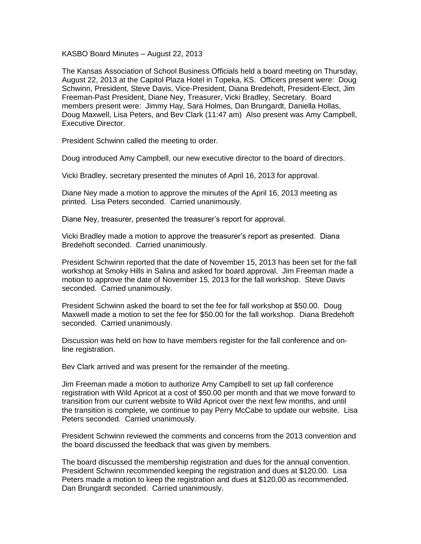KASBO Board Minutes – August 22, 2013

The Kansas Association of School Business Officials held a board meeting on Thursday, August 22, 2013 at the Capitol Plaza Hotel in Topeka, KS. Officers present were: Doug Schwinn, President, Steve Davis, Vice-President, Diana Bredehoft, President-Elect, Jim Freeman-Past President, Diane Ney, Treasurer, Vicki Bradley, Secretary. Board members present were: Jimmy Hay, Sara Holmes, Dan Brungardt, Daniella Hollas, Doug Maxwell, Lisa Peters, and Bev Clark (11:47 am) Also present was Amy Campbell, Executive Director.

President Schwinn called the meeting to order.

Doug introduced Amy Campbell, our new executive director to the board of directors.

Vicki Bradley, secretary presented the minutes of April 16, 2013 for approval.

Diane Ney made a motion to approve the minutes of the April 16, 2013 meeting as printed. Lisa Peters seconded. Carried unanimously.

Diane Ney, treasurer, presented the treasurer's report for approval.

Vicki Bradley made a motion to approve the treasurer's report as presented. Diana Bredehoft seconded. Carried unanimously.

President Schwinn reported that the date of November 15, 2013 has been set for the fall workshop at Smoky Hills in Salina and asked for board approval. Jim Freeman made a motion to approve the date of November 15, 2013 for the fall workshop. Steve Davis seconded. Carried unanimously.

President Schwinn asked the board to set the fee for fall workshop at \$50.00. Doug Maxwell made a motion to set the fee for \$50.00 for the fall workshop. Diana Bredehoft seconded. Carried unanimously.

Discussion was held on how to have members register for the fall conference and online registration.

Bev Clark arrived and was present for the remainder of the meeting.

Jim Freeman made a motion to authorize Amy Campbell to set up fall conference registration with Wild Apricot at a cost of \$50.00 per month and that we move forward to transition from our current website to Wild Apricot over the next few months, and until the transition is complete, we continue to pay Perry McCabe to update our website. Lisa Peters seconded. Carried unanimously.

President Schwinn reviewed the comments and concerns from the 2013 convention and the board discussed the feedback that was given by members.

The board discussed the membership registration and dues for the annual convention. President Schwinn recommended keeping the registration and dues at \$120.00. Lisa Peters made a motion to keep the registration and dues at \$120.00 as recommended. Dan Brungardt seconded. Carried unanimously.